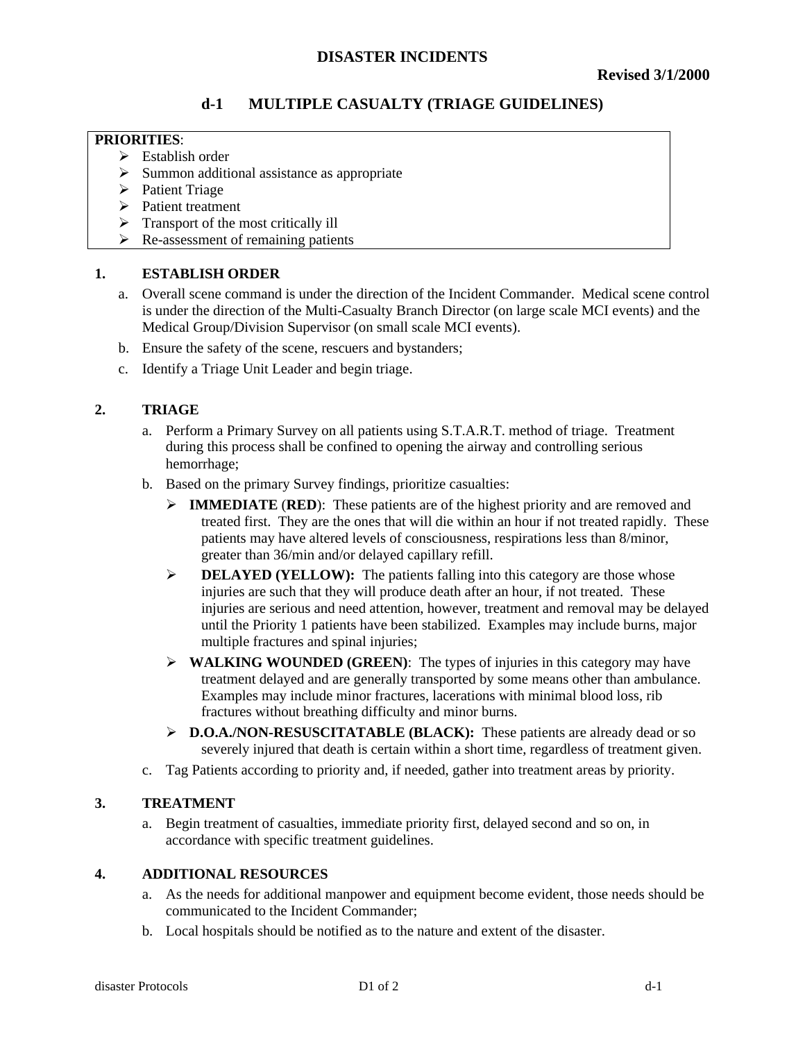# **d-1 MULTIPLE CASUALTY (TRIAGE GUIDELINES)**

#### **PRIORITIES**:

- $\triangleright$  Establish order
- $\triangleright$  Summon additional assistance as appropriate
- $\triangleright$  Patient Triage
- $\triangleright$  Patient treatment
- $\triangleright$  Transport of the most critically ill
- $\triangleright$  Re-assessment of remaining patients

## **1. ESTABLISH ORDER**

- a. Overall scene command is under the direction of the Incident Commander. Medical scene control is under the direction of the Multi-Casualty Branch Director (on large scale MCI events) and the Medical Group/Division Supervisor (on small scale MCI events).
- b. Ensure the safety of the scene, rescuers and bystanders;
- c. Identify a Triage Unit Leader and begin triage.

## **2. TRIAGE**

- a. Perform a Primary Survey on all patients using S.T.A.R.T. method of triage. Treatment during this process shall be confined to opening the airway and controlling serious hemorrhage;
- b. Based on the primary Survey findings, prioritize casualties:
	- ÿ **IMMEDIATE** (**RED**): These patients are of the highest priority and are removed and treated first. They are the ones that will die within an hour if not treated rapidly. These patients may have altered levels of consciousness, respirations less than 8/minor, greater than 36/min and/or delayed capillary refill.
	- **► DELAYED (YELLOW):** The patients falling into this category are those whose injuries are such that they will produce death after an hour, if not treated. These injuries are serious and need attention, however, treatment and removal may be delayed until the Priority 1 patients have been stabilized. Examples may include burns, major multiple fractures and spinal injuries;
	- ÿ **WALKING WOUNDED (GREEN)**: The types of injuries in this category may have treatment delayed and are generally transported by some means other than ambulance. Examples may include minor fractures, lacerations with minimal blood loss, rib fractures without breathing difficulty and minor burns.
	- ÿ **D.O.A./NON-RESUSCITATABLE (BLACK):** These patients are already dead or so severely injured that death is certain within a short time, regardless of treatment given.
- c. Tag Patients according to priority and, if needed, gather into treatment areas by priority.

## **3. TREATMENT**

a. Begin treatment of casualties, immediate priority first, delayed second and so on, in accordance with specific treatment guidelines.

#### **4. ADDITIONAL RESOURCES**

- a. As the needs for additional manpower and equipment become evident, those needs should be communicated to the Incident Commander;
- b. Local hospitals should be notified as to the nature and extent of the disaster.